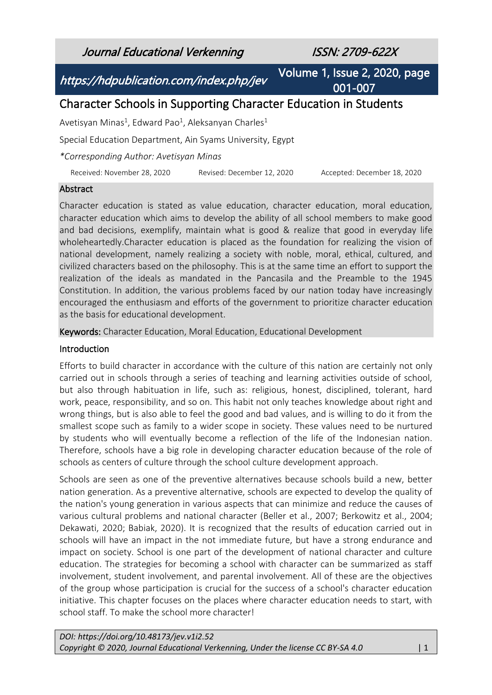Journal Educational Verkenning ISSN: 2709-622X

https://hdpublication.com/index.php/jev

Volume 1, Issue 2, 2020, page 001-007

# Character Schools in Supporting Character Education in Students

Avetisyan Minas<sup>1</sup>, Edward Pao<sup>1</sup>, Aleksanyan Charles<sup>1</sup>

Special Education Department, Ain Syams University, Egypt

*\*Corresponding Author: Avetisyan Minas*

Received: November 28, 2020 Revised: December 12, 2020 Accepted: December 18, 2020

#### Abstract

Character education is stated as value education, character education, moral education, character education which aims to develop the ability of all school members to make good and bad decisions, exemplify, maintain what is good & realize that good in everyday life wholeheartedly.Character education is placed as the foundation for realizing the vision of national development, namely realizing a society with noble, moral, ethical, cultured, and civilized characters based on the philosophy. This is at the same time an effort to support the realization of the ideals as mandated in the Pancasila and the Preamble to the 1945 Constitution. In addition, the various problems faced by our nation today have increasingly encouraged the enthusiasm and efforts of the government to prioritize character education as the basis for educational development.

Keywords: Character Education, Moral Education, Educational Development

#### Introduction

Efforts to build character in accordance with the culture of this nation are certainly not only carried out in schools through a series of teaching and learning activities outside of school, but also through habituation in life, such as: religious, honest, disciplined, tolerant, hard work, peace, responsibility, and so on. This habit not only teaches knowledge about right and wrong things, but is also able to feel the good and bad values, and is willing to do it from the smallest scope such as family to a wider scope in society. These values need to be nurtured by students who will eventually become a reflection of the life of the Indonesian nation. Therefore, schools have a big role in developing character education because of the role of schools as centers of culture through the school culture development approach.

Schools are seen as one of the preventive alternatives because schools build a new, better nation generation. As a preventive alternative, schools are expected to develop the quality of the nation's young generation in various aspects that can minimize and reduce the causes of various cultural problems and national character (Beller et al., 2007; Berkowitz et al., 2004; Dekawati, 2020; Babiak, 2020). It is recognized that the results of education carried out in schools will have an impact in the not immediate future, but have a strong endurance and impact on society. School is one part of the development of national character and culture education. The strategies for becoming a school with character can be summarized as staff involvement, student involvement, and parental involvement. All of these are the objectives of the group whose participation is crucial for the success of a school's character education initiative. This chapter focuses on the places where character education needs to start, with school staff. To make the school more character!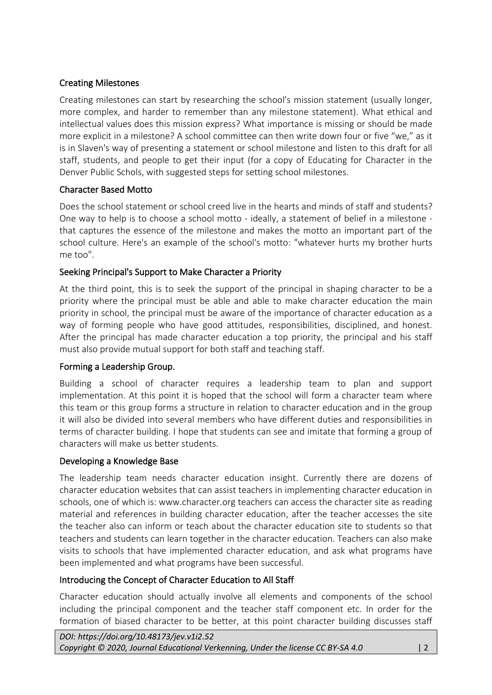### Creating Milestones

Creating milestones can start by researching the school's mission statement (usually longer, more complex, and harder to remember than any milestone statement). What ethical and intellectual values does this mission express? What importance is missing or should be made more explicit in a milestone? A school committee can then write down four or five "we," as it is in Slaven's way of presenting a statement or school milestone and listen to this draft for all staff, students, and people to get their input (for a copy of Educating for Character in the Denver Public Schols, with suggested steps for setting school milestones.

### Character Based Motto

Does the school statement or school creed live in the hearts and minds of staff and students? One way to help is to choose a school motto - ideally, a statement of belief in a milestone that captures the essence of the milestone and makes the motto an important part of the school culture. Here's an example of the school's motto: "whatever hurts my brother hurts me too".

# Seeking Principal's Support to Make Character a Priority

At the third point, this is to seek the support of the principal in shaping character to be a priority where the principal must be able and able to make character education the main priority in school, the principal must be aware of the importance of character education as a way of forming people who have good attitudes, responsibilities, disciplined, and honest. After the principal has made character education a top priority, the principal and his staff must also provide mutual support for both staff and teaching staff.

### Forming a Leadership Group.

Building a school of character requires a leadership team to plan and support implementation. At this point it is hoped that the school will form a character team where this team or this group forms a structure in relation to character education and in the group it will also be divided into several members who have different duties and responsibilities in terms of character building. I hope that students can see and imitate that forming a group of characters will make us better students.

### Developing a Knowledge Base

The leadership team needs character education insight. Currently there are dozens of character education websites that can assist teachers in implementing character education in schools, one of which is: www.character.org teachers can access the character site as reading material and references in building character education, after the teacher accesses the site the teacher also can inform or teach about the character education site to students so that teachers and students can learn together in the character education. Teachers can also make visits to schools that have implemented character education, and ask what programs have been implemented and what programs have been successful.

### Introducing the Concept of Character Education to All Staff

Character education should actually involve all elements and components of the school including the principal component and the teacher staff component etc. In order for the formation of biased character to be better, at this point character building discusses staff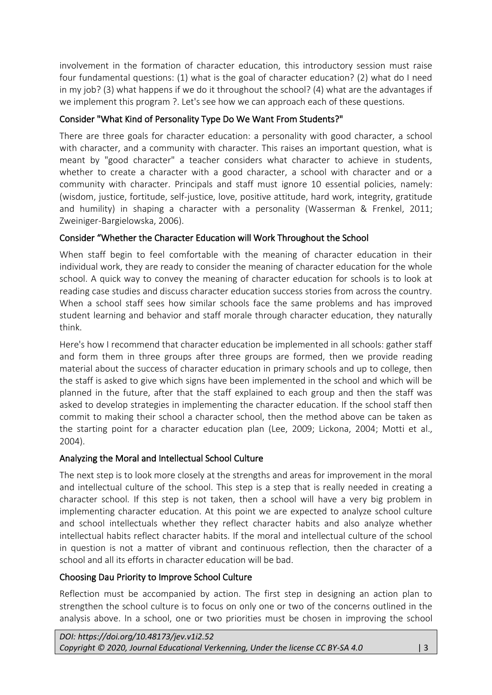involvement in the formation of character education, this introductory session must raise four fundamental questions: (1) what is the goal of character education? (2) what do I need in my job? (3) what happens if we do it throughout the school? (4) what are the advantages if we implement this program ?. Let's see how we can approach each of these questions.

# Consider "What Kind of Personality Type Do We Want From Students?"

There are three goals for character education: a personality with good character, a school with character, and a community with character. This raises an important question, what is meant by "good character" a teacher considers what character to achieve in students, whether to create a character with a good character, a school with character and or a community with character. Principals and staff must ignore 10 essential policies, namely: (wisdom, justice, fortitude, self-justice, love, positive attitude, hard work, integrity, gratitude and humility) in shaping a character with a personality (Wasserman & Frenkel, 2011; Zweiniger-Bargielowska, 2006).

# Consider "Whether the Character Education will Work Throughout the School

When staff begin to feel comfortable with the meaning of character education in their individual work, they are ready to consider the meaning of character education for the whole school. A quick way to convey the meaning of character education for schools is to look at reading case studies and discuss character education success stories from across the country. When a school staff sees how similar schools face the same problems and has improved student learning and behavior and staff morale through character education, they naturally think.

Here's how I recommend that character education be implemented in all schools: gather staff and form them in three groups after three groups are formed, then we provide reading material about the success of character education in primary schools and up to college, then the staff is asked to give which signs have been implemented in the school and which will be planned in the future, after that the staff explained to each group and then the staff was asked to develop strategies in implementing the character education. If the school staff then commit to making their school a character school, then the method above can be taken as the starting point for a character education plan (Lee, 2009; Lickona, 2004; Motti et al., 2004).

### Analyzing the Moral and Intellectual School Culture

The next step is to look more closely at the strengths and areas for improvement in the moral and intellectual culture of the school. This step is a step that is really needed in creating a character school. If this step is not taken, then a school will have a very big problem in implementing character education. At this point we are expected to analyze school culture and school intellectuals whether they reflect character habits and also analyze whether intellectual habits reflect character habits. If the moral and intellectual culture of the school in question is not a matter of vibrant and continuous reflection, then the character of a school and all its efforts in character education will be bad.

### Choosing Dau Priority to Improve School Culture

Reflection must be accompanied by action. The first step in designing an action plan to strengthen the school culture is to focus on only one or two of the concerns outlined in the analysis above. In a school, one or two priorities must be chosen in improving the school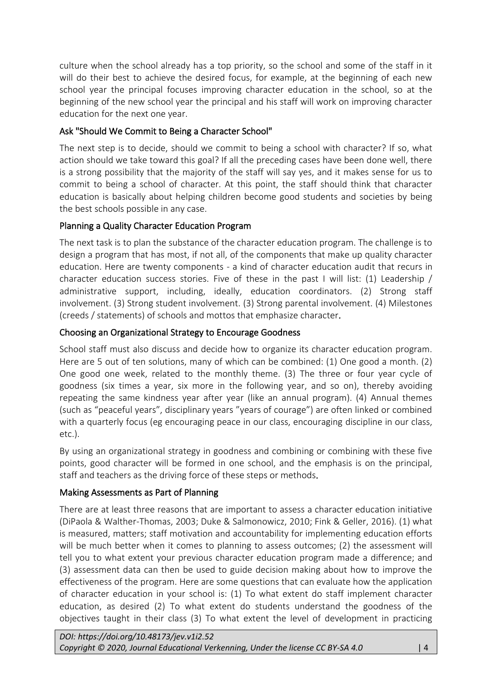culture when the school already has a top priority, so the school and some of the staff in it will do their best to achieve the desired focus, for example, at the beginning of each new school year the principal focuses improving character education in the school, so at the beginning of the new school year the principal and his staff will work on improving character education for the next one year.

# Ask "Should We Commit to Being a Character School"

The next step is to decide, should we commit to being a school with character? If so, what action should we take toward this goal? If all the preceding cases have been done well, there is a strong possibility that the majority of the staff will say yes, and it makes sense for us to commit to being a school of character. At this point, the staff should think that character education is basically about helping children become good students and societies by being the best schools possible in any case.

# Planning a Quality Character Education Program

The next task is to plan the substance of the character education program. The challenge is to design a program that has most, if not all, of the components that make up quality character education. Here are twenty components - a kind of character education audit that recurs in character education success stories. Five of these in the past I will list: (1) Leadership / administrative support, including, ideally, education coordinators. (2) Strong staff involvement. (3) Strong student involvement. (3) Strong parental involvement. (4) Milestones (creeds / statements) of schools and mottos that emphasize character.

# Choosing an Organizational Strategy to Encourage Goodness

School staff must also discuss and decide how to organize its character education program. Here are 5 out of ten solutions, many of which can be combined: (1) One good a month. (2) One good one week, related to the monthly theme. (3) The three or four year cycle of goodness (six times a year, six more in the following year, and so on), thereby avoiding repeating the same kindness year after year (like an annual program). (4) Annual themes (such as "peaceful years", disciplinary years "years of courage") are often linked or combined with a quarterly focus (eg encouraging peace in our class, encouraging discipline in our class, etc.).

By using an organizational strategy in goodness and combining or combining with these five points, good character will be formed in one school, and the emphasis is on the principal, staff and teachers as the driving force of these steps or methods.

# Making Assessments as Part of Planning

There are at least three reasons that are important to assess a character education initiative (DiPaola & Walther-Thomas, 2003; Duke & Salmonowicz, 2010; Fink & Geller, 2016). (1) what is measured, matters; staff motivation and accountability for implementing education efforts will be much better when it comes to planning to assess outcomes; (2) the assessment will tell you to what extent your previous character education program made a difference; and (3) assessment data can then be used to guide decision making about how to improve the effectiveness of the program. Here are some questions that can evaluate how the application of character education in your school is: (1) To what extent do staff implement character education, as desired (2) To what extent do students understand the goodness of the objectives taught in their class (3) To what extent the level of development in practicing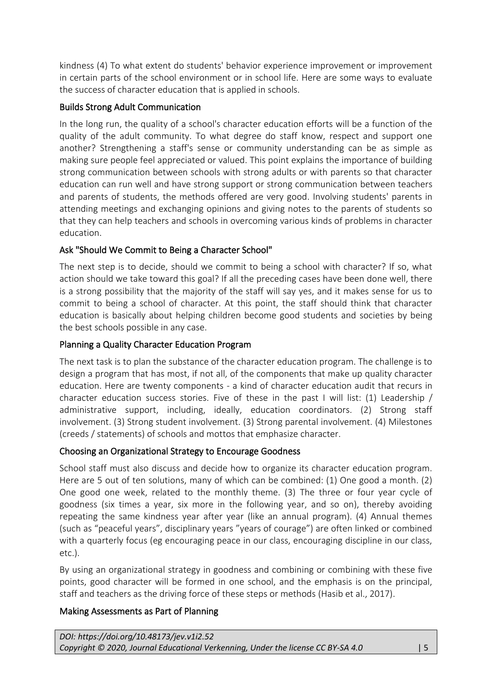kindness (4) To what extent do students' behavior experience improvement or improvement in certain parts of the school environment or in school life. Here are some ways to evaluate the success of character education that is applied in schools.

# Builds Strong Adult Communication

In the long run, the quality of a school's character education efforts will be a function of the quality of the adult community. To what degree do staff know, respect and support one another? Strengthening a staff's sense or community understanding can be as simple as making sure people feel appreciated or valued. This point explains the importance of building strong communication between schools with strong adults or with parents so that character education can run well and have strong support or strong communication between teachers and parents of students, the methods offered are very good. Involving students' parents in attending meetings and exchanging opinions and giving notes to the parents of students so that they can help teachers and schools in overcoming various kinds of problems in character education.

# Ask "Should We Commit to Being a Character School"

The next step is to decide, should we commit to being a school with character? If so, what action should we take toward this goal? If all the preceding cases have been done well, there is a strong possibility that the majority of the staff will say yes, and it makes sense for us to commit to being a school of character. At this point, the staff should think that character education is basically about helping children become good students and societies by being the best schools possible in any case.

# Planning a Quality Character Education Program

The next task is to plan the substance of the character education program. The challenge is to design a program that has most, if not all, of the components that make up quality character education. Here are twenty components - a kind of character education audit that recurs in character education success stories. Five of these in the past I will list: (1) Leadership / administrative support, including, ideally, education coordinators. (2) Strong staff involvement. (3) Strong student involvement. (3) Strong parental involvement. (4) Milestones (creeds / statements) of schools and mottos that emphasize character.

### Choosing an Organizational Strategy to Encourage Goodness

School staff must also discuss and decide how to organize its character education program. Here are 5 out of ten solutions, many of which can be combined: (1) One good a month. (2) One good one week, related to the monthly theme. (3) The three or four year cycle of goodness (six times a year, six more in the following year, and so on), thereby avoiding repeating the same kindness year after year (like an annual program). (4) Annual themes (such as "peaceful years", disciplinary years "years of courage") are often linked or combined with a quarterly focus (eg encouraging peace in our class, encouraging discipline in our class, etc.).

By using an organizational strategy in goodness and combining or combining with these five points, good character will be formed in one school, and the emphasis is on the principal, staff and teachers as the driving force of these steps or methods (Hasib et al., 2017).

### Making Assessments as Part of Planning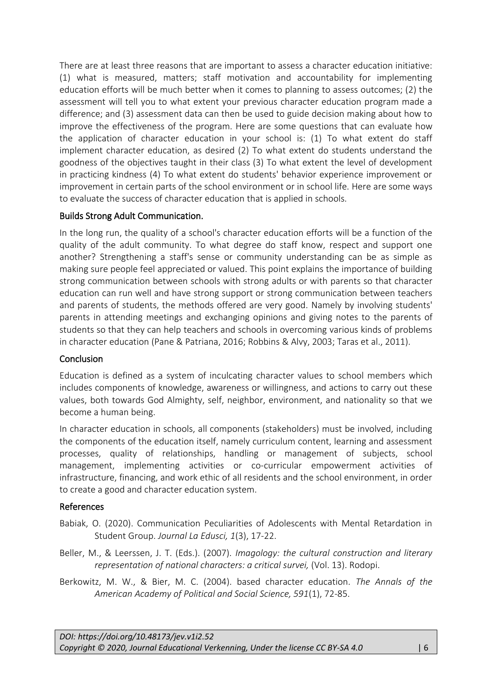There are at least three reasons that are important to assess a character education initiative: (1) what is measured, matters; staff motivation and accountability for implementing education efforts will be much better when it comes to planning to assess outcomes; (2) the assessment will tell you to what extent your previous character education program made a difference; and (3) assessment data can then be used to guide decision making about how to improve the effectiveness of the program. Here are some questions that can evaluate how the application of character education in your school is: (1) To what extent do staff implement character education, as desired (2) To what extent do students understand the goodness of the objectives taught in their class (3) To what extent the level of development in practicing kindness (4) To what extent do students' behavior experience improvement or improvement in certain parts of the school environment or in school life. Here are some ways to evaluate the success of character education that is applied in schools.

#### Builds Strong Adult Communication.

In the long run, the quality of a school's character education efforts will be a function of the quality of the adult community. To what degree do staff know, respect and support one another? Strengthening a staff's sense or community understanding can be as simple as making sure people feel appreciated or valued. This point explains the importance of building strong communication between schools with strong adults or with parents so that character education can run well and have strong support or strong communication between teachers and parents of students, the methods offered are very good. Namely by involving students' parents in attending meetings and exchanging opinions and giving notes to the parents of students so that they can help teachers and schools in overcoming various kinds of problems in character education (Pane & Patriana, 2016; Robbins & Alvy, 2003; Taras et al., 2011).

#### **Conclusion**

Education is defined as a system of inculcating character values to school members which includes components of knowledge, awareness or willingness, and actions to carry out these values, both towards God Almighty, self, neighbor, environment, and nationality so that we become a human being.

In character education in schools, all components (stakeholders) must be involved, including the components of the education itself, namely curriculum content, learning and assessment processes, quality of relationships, handling or management of subjects, school management, implementing activities or co-curricular empowerment activities of infrastructure, financing, and work ethic of all residents and the school environment, in order to create a good and character education system.

### References

- Babiak, O. (2020). Communication Peculiarities of Adolescents with Mental Retardation in Student Group. *Journal La Edusci, 1*(3), 17-22.
- Beller, M., & Leerssen, J. T. (Eds.). (2007). *Imagology: the cultural construction and literary representation of national characters: a critical survei,* (Vol. 13). Rodopi.
- Berkowitz, M. W., & Bier, M. C. (2004). based character education. *The Annals of the American Academy of Political and Social Science, 591*(1), 72-85.

*DOI: https://doi.org/10.48173/jev.v1i2.52 Copyright © 2020, Journal Educational Verkenning, Under the license CC BY-SA 4.0* | 6